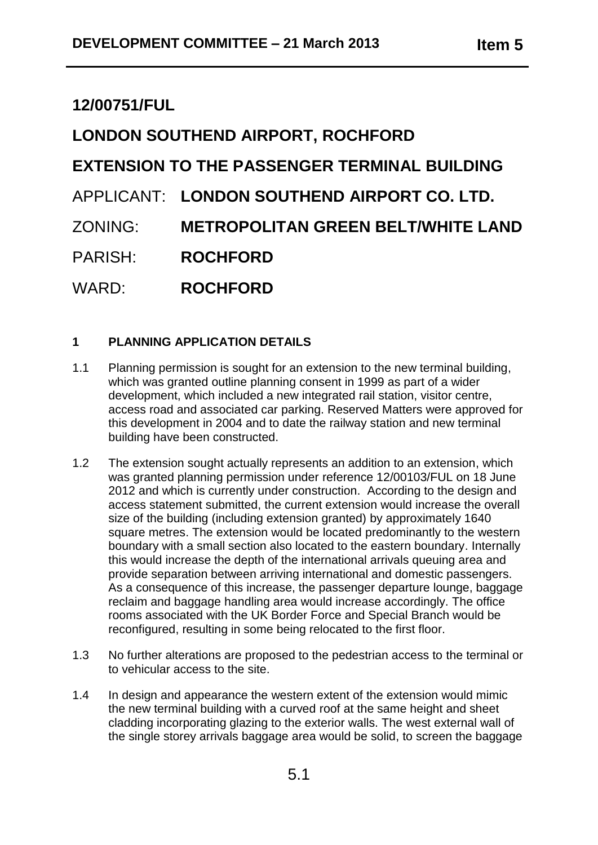## **12/00751/FUL**

# **LONDON SOUTHEND AIRPORT, ROCHFORD**

## **EXTENSION TO THE PASSENGER TERMINAL BUILDING**

## APPLICANT: **LONDON SOUTHEND AIRPORT CO. LTD.**

- ZONING: **METROPOLITAN GREEN BELT/WHITE LAND**
- PARISH: **ROCHFORD**

WARD: **ROCHFORD**

## **1 PLANNING APPLICATION DETAILS**

- 1.1 Planning permission is sought for an extension to the new terminal building, which was granted outline planning consent in 1999 as part of a wider development, which included a new integrated rail station, visitor centre, access road and associated car parking. Reserved Matters were approved for this development in 2004 and to date the railway station and new terminal building have been constructed.
- 1.2 The extension sought actually represents an addition to an extension, which was granted planning permission under reference 12/00103/FUL on 18 June 2012 and which is currently under construction. According to the design and access statement submitted, the current extension would increase the overall size of the building (including extension granted) by approximately 1640 square metres. The extension would be located predominantly to the western boundary with a small section also located to the eastern boundary. Internally this would increase the depth of the international arrivals queuing area and provide separation between arriving international and domestic passengers. As a consequence of this increase, the passenger departure lounge, baggage reclaim and baggage handling area would increase accordingly. The office rooms associated with the UK Border Force and Special Branch would be reconfigured, resulting in some being relocated to the first floor.
- 1.3 No further alterations are proposed to the pedestrian access to the terminal or to vehicular access to the site.
- 1.4 In design and appearance the western extent of the extension would mimic the new terminal building with a curved roof at the same height and sheet cladding incorporating glazing to the exterior walls. The west external wall of the single storey arrivals baggage area would be solid, to screen the baggage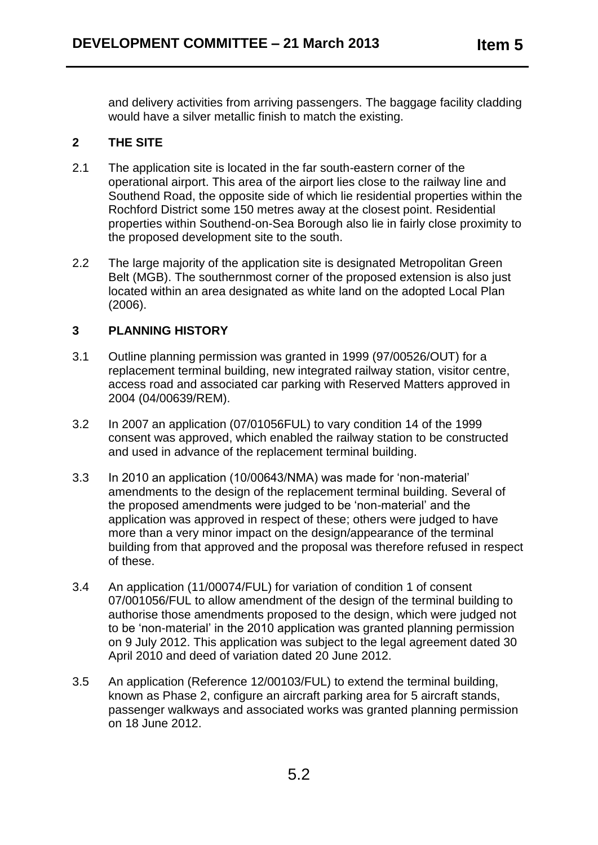and delivery activities from arriving passengers. The baggage facility cladding would have a silver metallic finish to match the existing.

## **2 THE SITE**

- 2.1 The application site is located in the far south-eastern corner of the operational airport. This area of the airport lies close to the railway line and Southend Road, the opposite side of which lie residential properties within the Rochford District some 150 metres away at the closest point. Residential properties within Southend-on-Sea Borough also lie in fairly close proximity to the proposed development site to the south.
- 2.2 The large majority of the application site is designated Metropolitan Green Belt (MGB). The southernmost corner of the proposed extension is also just located within an area designated as white land on the adopted Local Plan (2006).

## **3 PLANNING HISTORY**

- 3.1 Outline planning permission was granted in 1999 (97/00526/OUT) for a replacement terminal building, new integrated railway station, visitor centre, access road and associated car parking with Reserved Matters approved in 2004 (04/00639/REM).
- 3.2 In 2007 an application (07/01056FUL) to vary condition 14 of the 1999 consent was approved, which enabled the railway station to be constructed and used in advance of the replacement terminal building.
- 3.3 In 2010 an application (10/00643/NMA) was made for 'non-material' amendments to the design of the replacement terminal building. Several of the proposed amendments were judged to be 'non-material' and the application was approved in respect of these; others were judged to have more than a very minor impact on the design/appearance of the terminal building from that approved and the proposal was therefore refused in respect of these.
- 3.4 An application (11/00074/FUL) for variation of condition 1 of consent 07/001056/FUL to allow amendment of the design of the terminal building to authorise those amendments proposed to the design, which were judged not to be 'non-material' in the 2010 application was granted planning permission on 9 July 2012. This application was subject to the legal agreement dated 30 April 2010 and deed of variation dated 20 June 2012.
- 3.5 An application (Reference 12/00103/FUL) to extend the terminal building, known as Phase 2, configure an aircraft parking area for 5 aircraft stands, passenger walkways and associated works was granted planning permission on 18 June 2012.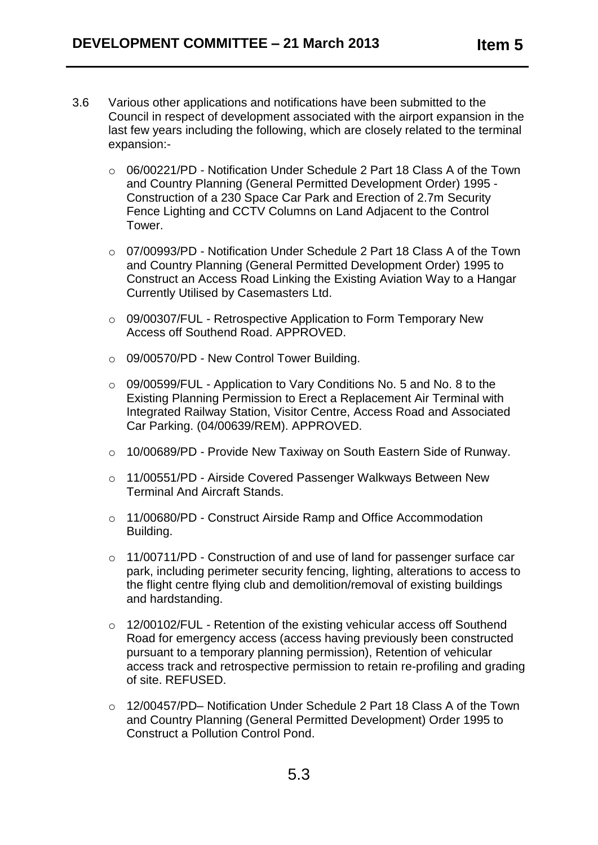- 3.6 Various other applications and notifications have been submitted to the Council in respect of development associated with the airport expansion in the last few years including the following, which are closely related to the terminal expansion:
	- o 06/00221/PD Notification Under Schedule 2 Part 18 Class A of the Town and Country Planning (General Permitted Development Order) 1995 - Construction of a 230 Space Car Park and Erection of 2.7m Security Fence Lighting and CCTV Columns on Land Adjacent to the Control Tower.
	- o 07/00993/PD Notification Under Schedule 2 Part 18 Class A of the Town and Country Planning (General Permitted Development Order) 1995 to Construct an Access Road Linking the Existing Aviation Way to a Hangar Currently Utilised by Casemasters Ltd.
	- o 09/00307/FUL Retrospective Application to Form Temporary New Access off Southend Road. APPROVED.
	- o 09/00570/PD New Control Tower Building.
	- o 09/00599/FUL Application to Vary Conditions No. 5 and No. 8 to the Existing Planning Permission to Erect a Replacement Air Terminal with Integrated Railway Station, Visitor Centre, Access Road and Associated Car Parking. (04/00639/REM). APPROVED.
	- o 10/00689/PD Provide New Taxiway on South Eastern Side of Runway.
	- o 11/00551/PD Airside Covered Passenger Walkways Between New Terminal And Aircraft Stands.
	- o 11/00680/PD Construct Airside Ramp and Office Accommodation Building.
	- o 11/00711/PD Construction of and use of land for passenger surface car park, including perimeter security fencing, lighting, alterations to access to the flight centre flying club and demolition/removal of existing buildings and hardstanding.
	- o 12/00102/FUL Retention of the existing vehicular access off Southend Road for emergency access (access having previously been constructed pursuant to a temporary planning permission), Retention of vehicular access track and retrospective permission to retain re-profiling and grading of site. REFUSED.
	- o 12/00457/PD– Notification Under Schedule 2 Part 18 Class A of the Town and Country Planning (General Permitted Development) Order 1995 to Construct a Pollution Control Pond.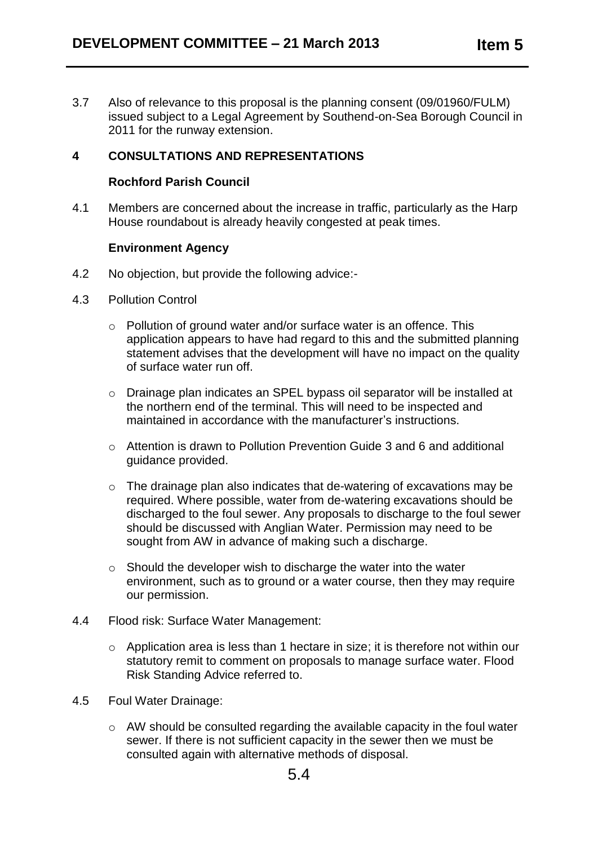3.7 Also of relevance to this proposal is the planning consent (09/01960/FULM) issued subject to a Legal Agreement by Southend-on-Sea Borough Council in 2011 for the runway extension.

## **4 CONSULTATIONS AND REPRESENTATIONS**

#### **Rochford Parish Council**

4.1 Members are concerned about the increase in traffic, particularly as the Harp House roundabout is already heavily congested at peak times.

#### **Environment Agency**

- 4.2 No objection, but provide the following advice:-
- 4.3 Pollution Control
	- o Pollution of ground water and/or surface water is an offence. This application appears to have had regard to this and the submitted planning statement advises that the development will have no impact on the quality of surface water run off.
	- o Drainage plan indicates an SPEL bypass oil separator will be installed at the northern end of the terminal. This will need to be inspected and maintained in accordance with the manufacturer's instructions.
	- o Attention is drawn to Pollution Prevention Guide 3 and 6 and additional guidance provided.
	- o The drainage plan also indicates that de-watering of excavations may be required. Where possible, water from de-watering excavations should be discharged to the foul sewer. Any proposals to discharge to the foul sewer should be discussed with Anglian Water. Permission may need to be sought from AW in advance of making such a discharge.
	- o Should the developer wish to discharge the water into the water environment, such as to ground or a water course, then they may require our permission.
- 4.4 Flood risk: Surface Water Management:
	- o Application area is less than 1 hectare in size; it is therefore not within our statutory remit to comment on proposals to manage surface water. Flood Risk Standing Advice referred to.
- 4.5 Foul Water Drainage:
	- o AW should be consulted regarding the available capacity in the foul water sewer. If there is not sufficient capacity in the sewer then we must be consulted again with alternative methods of disposal.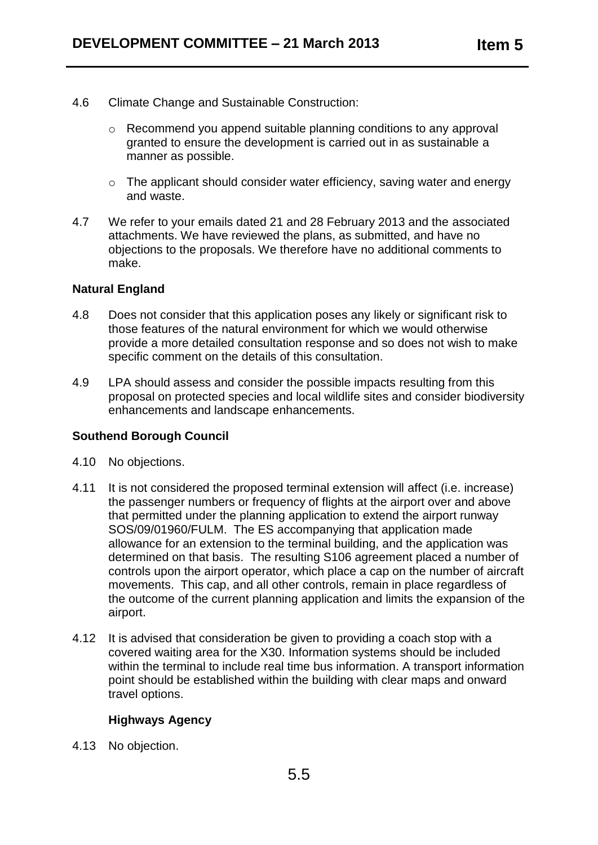- 4.6 Climate Change and Sustainable Construction:
	- o Recommend you append suitable planning conditions to any approval granted to ensure the development is carried out in as sustainable a manner as possible.
	- o The applicant should consider water efficiency, saving water and energy and waste.
- 4.7 We refer to your emails dated 21 and 28 February 2013 and the associated attachments. We have reviewed the plans, as submitted, and have no objections to the proposals. We therefore have no additional comments to make.

#### **Natural England**

- 4.8 Does not consider that this application poses any likely or significant risk to those features of the natural environment for which we would otherwise provide a more detailed consultation response and so does not wish to make specific comment on the details of this consultation.
- 4.9 LPA should assess and consider the possible impacts resulting from this proposal on protected species and local wildlife sites and consider biodiversity enhancements and landscape enhancements.

#### **Southend Borough Council**

- 4.10 No objections.
- 4.11 It is not considered the proposed terminal extension will affect (i.e. increase) the passenger numbers or frequency of flights at the airport over and above that permitted under the planning application to extend the airport runway SOS/09/01960/FULM. The ES accompanying that application made allowance for an extension to the terminal building, and the application was determined on that basis. The resulting S106 agreement placed a number of controls upon the airport operator, which place a cap on the number of aircraft movements. This cap, and all other controls, remain in place regardless of the outcome of the current planning application and limits the expansion of the airport.
- 4.12 It is advised that consideration be given to providing a coach stop with a covered waiting area for the X30. Information systems should be included within the terminal to include real time bus information. A transport information point should be established within the building with clear maps and onward travel options.

### **Highways Agency**

4.13 No objection.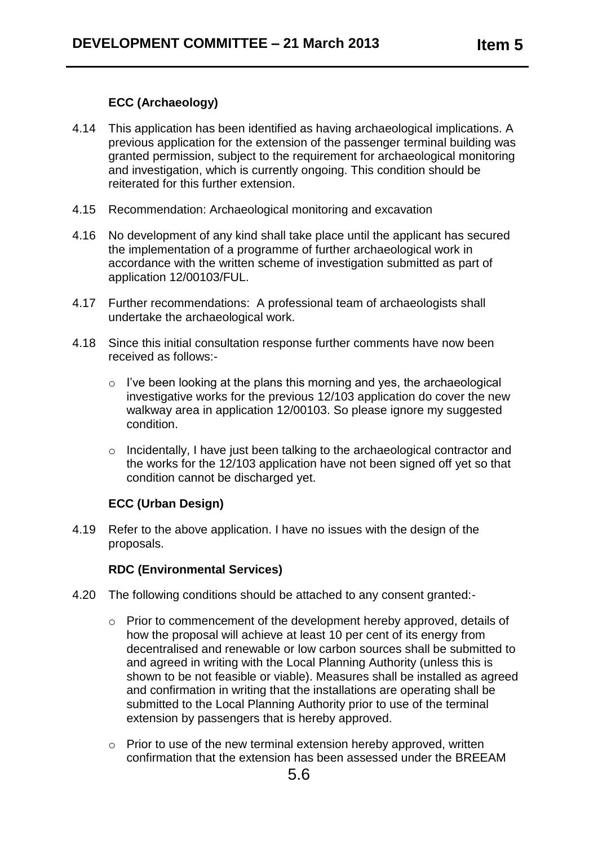## **ECC (Archaeology)**

- 4.14 This application has been identified as having archaeological implications. A previous application for the extension of the passenger terminal building was granted permission, subject to the requirement for archaeological monitoring and investigation, which is currently ongoing. This condition should be reiterated for this further extension.
- 4.15 Recommendation: Archaeological monitoring and excavation
- 4.16 No development of any kind shall take place until the applicant has secured the implementation of a programme of further archaeological work in accordance with the written scheme of investigation submitted as part of application 12/00103/FUL.
- 4.17 Further recommendations: A professional team of archaeologists shall undertake the archaeological work.
- 4.18 Since this initial consultation response further comments have now been received as follows:
	- o I've been looking at the plans this morning and yes, the archaeological investigative works for the previous 12/103 application do cover the new walkway area in application 12/00103. So please ignore my suggested condition.
	- o Incidentally, I have just been talking to the archaeological contractor and the works for the 12/103 application have not been signed off yet so that condition cannot be discharged yet.

## **ECC (Urban Design)**

4.19 Refer to the above application. I have no issues with the design of the proposals.

#### **RDC (Environmental Services)**

- 4.20 The following conditions should be attached to any consent granted:
	- o Prior to commencement of the development hereby approved, details of how the proposal will achieve at least 10 per cent of its energy from decentralised and renewable or low carbon sources shall be submitted to and agreed in writing with the Local Planning Authority (unless this is shown to be not feasible or viable). Measures shall be installed as agreed and confirmation in writing that the installations are operating shall be submitted to the Local Planning Authority prior to use of the terminal extension by passengers that is hereby approved.
	- o Prior to use of the new terminal extension hereby approved, written confirmation that the extension has been assessed under the BREEAM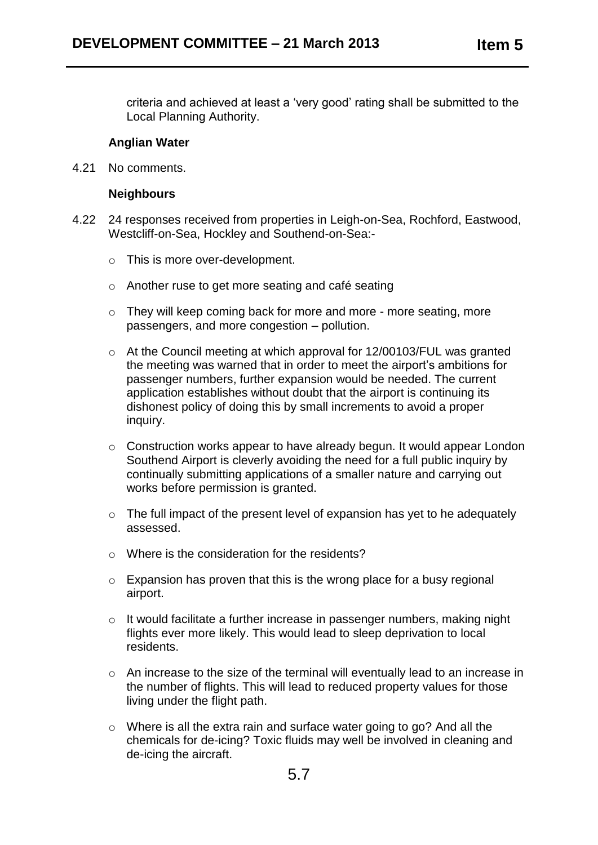criteria and achieved at least a 'very good' rating shall be submitted to the Local Planning Authority.

#### **Anglian Water**

4.21 No comments.

#### **Neighbours**

- 4.22 24 responses received from properties in Leigh-on-Sea, Rochford, Eastwood, Westcliff-on-Sea, Hockley and Southend-on-Sea:
	- o This is more over-development.
	- o Another ruse to get more seating and café seating
	- o They will keep coming back for more and more more seating, more passengers, and more congestion – pollution.
	- o At the Council meeting at which approval for 12/00103/FUL was granted the meeting was warned that in order to meet the airport's ambitions for passenger numbers, further expansion would be needed. The current application establishes without doubt that the airport is continuing its dishonest policy of doing this by small increments to avoid a proper inquiry.
	- o Construction works appear to have already begun. It would appear London Southend Airport is cleverly avoiding the need for a full public inquiry by continually submitting applications of a smaller nature and carrying out works before permission is granted.
	- o The full impact of the present level of expansion has yet to he adequately assessed.
	- o Where is the consideration for the residents?
	- o Expansion has proven that this is the wrong place for a busy regional airport.
	- o It would facilitate a further increase in passenger numbers, making night flights ever more likely. This would lead to sleep deprivation to local residents.
	- o An increase to the size of the terminal will eventually lead to an increase in the number of flights. This will lead to reduced property values for those living under the flight path.
	- o Where is all the extra rain and surface water going to go? And all the chemicals for de-icing? Toxic fluids may well be involved in cleaning and de-icing the aircraft.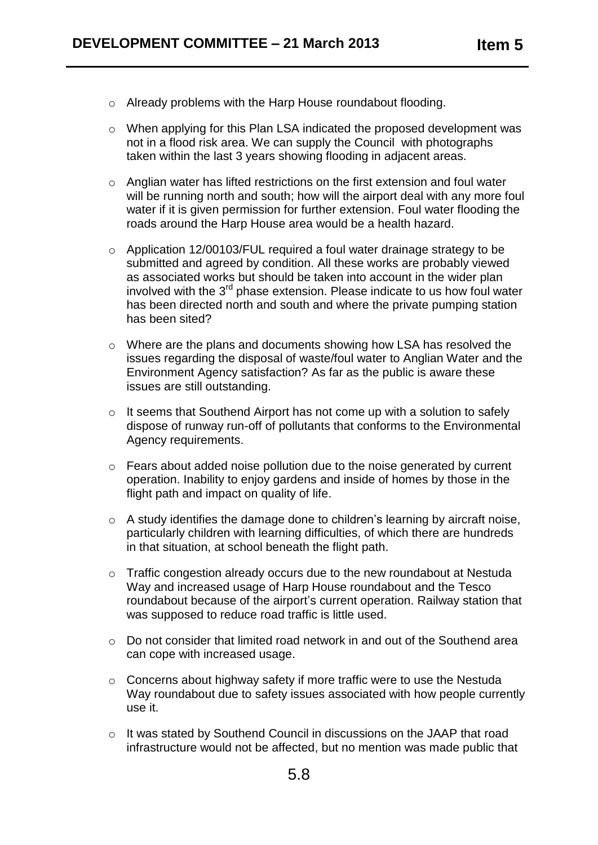- o Already problems with the Harp House roundabout flooding.
- o When applying for this Plan LSA indicated the proposed development was not in a flood risk area. We can supply the Council with photographs taken within the last 3 years showing flooding in adjacent areas.
- o Anglian water has lifted restrictions on the first extension and foul water will be running north and south; how will the airport deal with any more foul water if it is given permission for further extension. Foul water flooding the roads around the Harp House area would be a health hazard.
- o Application 12/00103/FUL required a foul water drainage strategy to be submitted and agreed by condition. All these works are probably viewed as associated works but should be taken into account in the wider plan involved with the 3<sup>rd</sup> phase extension. Please indicate to us how foul water has been directed north and south and where the private pumping station has been sited?
- o Where are the plans and documents showing how LSA has resolved the issues regarding the disposal of waste/foul water to Anglian Water and the Environment Agency satisfaction? As far as the public is aware these issues are still outstanding.
- o It seems that Southend Airport has not come up with a solution to safely dispose of runway run-off of pollutants that conforms to the Environmental Agency requirements.
- o Fears about added noise pollution due to the noise generated by current operation. Inability to enjoy gardens and inside of homes by those in the flight path and impact on quality of life.
- o A study identifies the damage done to children's learning by aircraft noise, particularly children with learning difficulties, of which there are hundreds in that situation, at school beneath the flight path.
- o Traffic congestion already occurs due to the new roundabout at Nestuda Way and increased usage of Harp House roundabout and the Tesco roundabout because of the airport's current operation. Railway station that was supposed to reduce road traffic is little used.
- o Do not consider that limited road network in and out of the Southend area can cope with increased usage.
- o Concerns about highway safety if more traffic were to use the Nestuda Way roundabout due to safety issues associated with how people currently use it.
- o It was stated by Southend Council in discussions on the JAAP that road infrastructure would not be affected, but no mention was made public that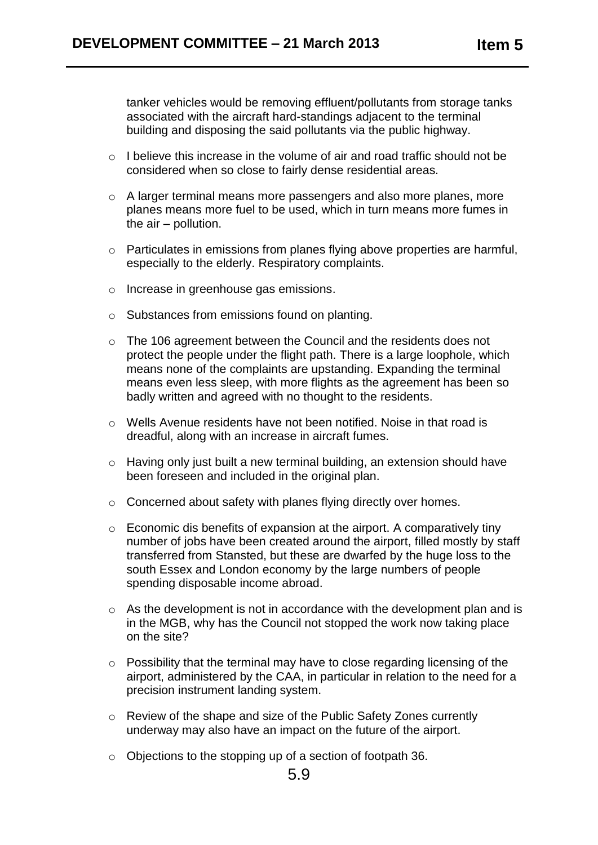tanker vehicles would be removing effluent/pollutants from storage tanks associated with the aircraft hard-standings adjacent to the terminal building and disposing the said pollutants via the public highway.

- o I believe this increase in the volume of air and road traffic should not be considered when so close to fairly dense residential areas.
- o A larger terminal means more passengers and also more planes, more planes means more fuel to be used, which in turn means more fumes in the air – pollution.
- o Particulates in emissions from planes flying above properties are harmful, especially to the elderly. Respiratory complaints.
- o Increase in greenhouse gas emissions.
- o Substances from emissions found on planting.
- o The 106 agreement between the Council and the residents does not protect the people under the flight path. There is a large loophole, which means none of the complaints are upstanding. Expanding the terminal means even less sleep, with more flights as the agreement has been so badly written and agreed with no thought to the residents.
- o Wells Avenue residents have not been notified. Noise in that road is dreadful, along with an increase in aircraft fumes.
- o Having only just built a new terminal building, an extension should have been foreseen and included in the original plan.
- o Concerned about safety with planes flying directly over homes.
- o Economic dis benefits of expansion at the airport. A comparatively tiny number of jobs have been created around the airport, filled mostly by staff transferred from Stansted, but these are dwarfed by the huge loss to the south Essex and London economy by the large numbers of people spending disposable income abroad.
- o As the development is not in accordance with the development plan and is in the MGB, why has the Council not stopped the work now taking place on the site?
- o Possibility that the terminal may have to close regarding licensing of the airport, administered by the CAA, in particular in relation to the need for a precision instrument landing system.
- o Review of the shape and size of the Public Safety Zones currently underway may also have an impact on the future of the airport.
- o Objections to the stopping up of a section of footpath 36.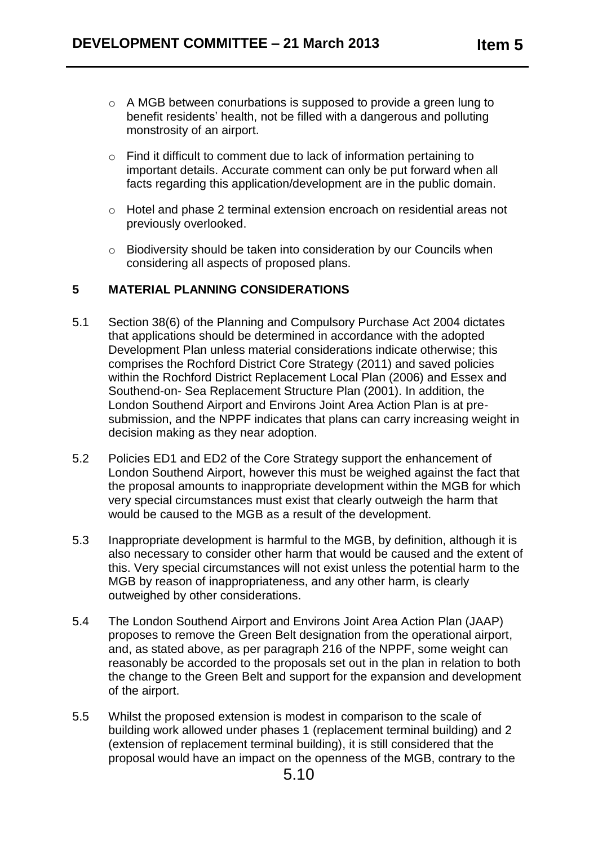- o A MGB between conurbations is supposed to provide a green lung to benefit residents' health, not be filled with a dangerous and polluting monstrosity of an airport.
- o Find it difficult to comment due to lack of information pertaining to important details. Accurate comment can only be put forward when all facts regarding this application/development are in the public domain.
- o Hotel and phase 2 terminal extension encroach on residential areas not previously overlooked.
- o Biodiversity should be taken into consideration by our Councils when considering all aspects of proposed plans.

### **5 MATERIAL PLANNING CONSIDERATIONS**

- 5.1 Section 38(6) of the Planning and Compulsory Purchase Act 2004 dictates that applications should be determined in accordance with the adopted Development Plan unless material considerations indicate otherwise; this comprises the Rochford District Core Strategy (2011) and saved policies within the Rochford District Replacement Local Plan (2006) and Essex and Southend-on- Sea Replacement Structure Plan (2001). In addition, the London Southend Airport and Environs Joint Area Action Plan is at presubmission, and the NPPF indicates that plans can carry increasing weight in decision making as they near adoption.
- 5.2 Policies ED1 and ED2 of the Core Strategy support the enhancement of London Southend Airport, however this must be weighed against the fact that the proposal amounts to inappropriate development within the MGB for which very special circumstances must exist that clearly outweigh the harm that would be caused to the MGB as a result of the development.
- 5.3 Inappropriate development is harmful to the MGB, by definition, although it is also necessary to consider other harm that would be caused and the extent of this. Very special circumstances will not exist unless the potential harm to the MGB by reason of inappropriateness, and any other harm, is clearly outweighed by other considerations.
- 5.4 The London Southend Airport and Environs Joint Area Action Plan (JAAP) proposes to remove the Green Belt designation from the operational airport, and, as stated above, as per paragraph 216 of the NPPF, some weight can reasonably be accorded to the proposals set out in the plan in relation to both the change to the Green Belt and support for the expansion and development of the airport.
- 5.5 Whilst the proposed extension is modest in comparison to the scale of building work allowed under phases 1 (replacement terminal building) and 2 (extension of replacement terminal building), it is still considered that the proposal would have an impact on the openness of the MGB, contrary to the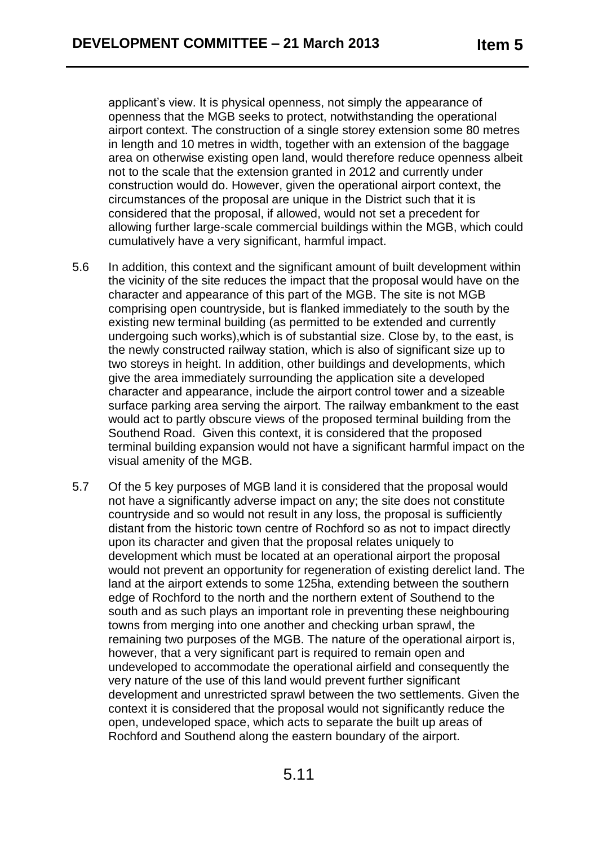applicant's view. It is physical openness, not simply the appearance of openness that the MGB seeks to protect, notwithstanding the operational airport context. The construction of a single storey extension some 80 metres in length and 10 metres in width, together with an extension of the baggage area on otherwise existing open land, would therefore reduce openness albeit not to the scale that the extension granted in 2012 and currently under construction would do. However, given the operational airport context, the circumstances of the proposal are unique in the District such that it is considered that the proposal, if allowed, would not set a precedent for allowing further large-scale commercial buildings within the MGB, which could cumulatively have a very significant, harmful impact.

- 5.6 In addition, this context and the significant amount of built development within the vicinity of the site reduces the impact that the proposal would have on the character and appearance of this part of the MGB. The site is not MGB comprising open countryside, but is flanked immediately to the south by the existing new terminal building (as permitted to be extended and currently undergoing such works),which is of substantial size. Close by, to the east, is the newly constructed railway station, which is also of significant size up to two storeys in height. In addition, other buildings and developments, which give the area immediately surrounding the application site a developed character and appearance, include the airport control tower and a sizeable surface parking area serving the airport. The railway embankment to the east would act to partly obscure views of the proposed terminal building from the Southend Road. Given this context, it is considered that the proposed terminal building expansion would not have a significant harmful impact on the visual amenity of the MGB.
- 5.7 Of the 5 key purposes of MGB land it is considered that the proposal would not have a significantly adverse impact on any; the site does not constitute countryside and so would not result in any loss, the proposal is sufficiently distant from the historic town centre of Rochford so as not to impact directly upon its character and given that the proposal relates uniquely to development which must be located at an operational airport the proposal would not prevent an opportunity for regeneration of existing derelict land. The land at the airport extends to some 125ha, extending between the southern edge of Rochford to the north and the northern extent of Southend to the south and as such plays an important role in preventing these neighbouring towns from merging into one another and checking urban sprawl, the remaining two purposes of the MGB. The nature of the operational airport is, however, that a very significant part is required to remain open and undeveloped to accommodate the operational airfield and consequently the very nature of the use of this land would prevent further significant development and unrestricted sprawl between the two settlements. Given the context it is considered that the proposal would not significantly reduce the open, undeveloped space, which acts to separate the built up areas of Rochford and Southend along the eastern boundary of the airport.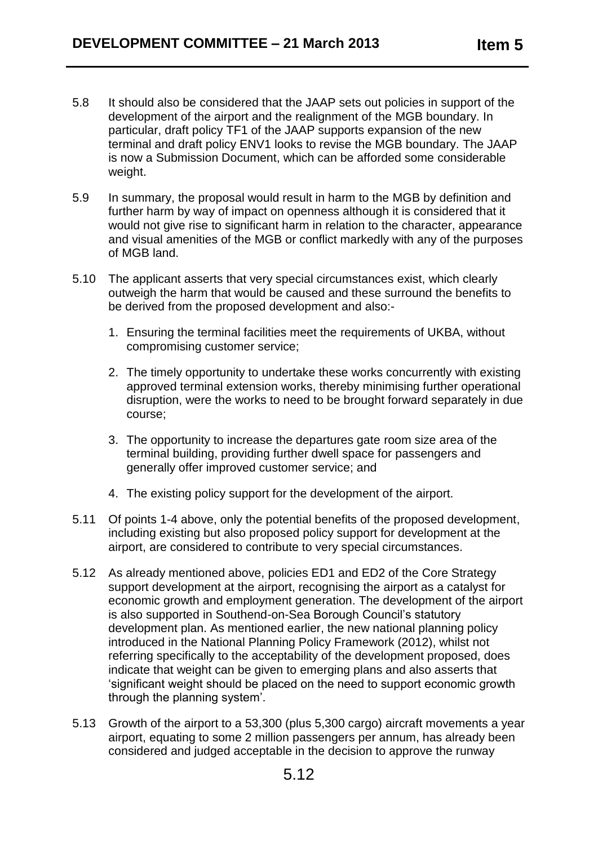- 5.8 It should also be considered that the JAAP sets out policies in support of the development of the airport and the realignment of the MGB boundary. In particular, draft policy TF1 of the JAAP supports expansion of the new terminal and draft policy ENV1 looks to revise the MGB boundary. The JAAP is now a Submission Document, which can be afforded some considerable weight.
- 5.9 In summary, the proposal would result in harm to the MGB by definition and further harm by way of impact on openness although it is considered that it would not give rise to significant harm in relation to the character, appearance and visual amenities of the MGB or conflict markedly with any of the purposes of MGB land.
- 5.10 The applicant asserts that very special circumstances exist, which clearly outweigh the harm that would be caused and these surround the benefits to be derived from the proposed development and also:-
	- 1. Ensuring the terminal facilities meet the requirements of UKBA, without compromising customer service;
	- 2. The timely opportunity to undertake these works concurrently with existing approved terminal extension works, thereby minimising further operational disruption, were the works to need to be brought forward separately in due course;
	- 3. The opportunity to increase the departures gate room size area of the terminal building, providing further dwell space for passengers and generally offer improved customer service; and
	- 4. The existing policy support for the development of the airport.
- 5.11 Of points 1-4 above, only the potential benefits of the proposed development, including existing but also proposed policy support for development at the airport, are considered to contribute to very special circumstances.
- 5.12 As already mentioned above, policies ED1 and ED2 of the Core Strategy support development at the airport, recognising the airport as a catalyst for economic growth and employment generation. The development of the airport is also supported in Southend-on-Sea Borough Council's statutory development plan. As mentioned earlier, the new national planning policy introduced in the National Planning Policy Framework (2012), whilst not referring specifically to the acceptability of the development proposed, does indicate that weight can be given to emerging plans and also asserts that 'significant weight should be placed on the need to support economic growth through the planning system'.
- 5.13 Growth of the airport to a 53,300 (plus 5,300 cargo) aircraft movements a year airport, equating to some 2 million passengers per annum, has already been considered and judged acceptable in the decision to approve the runway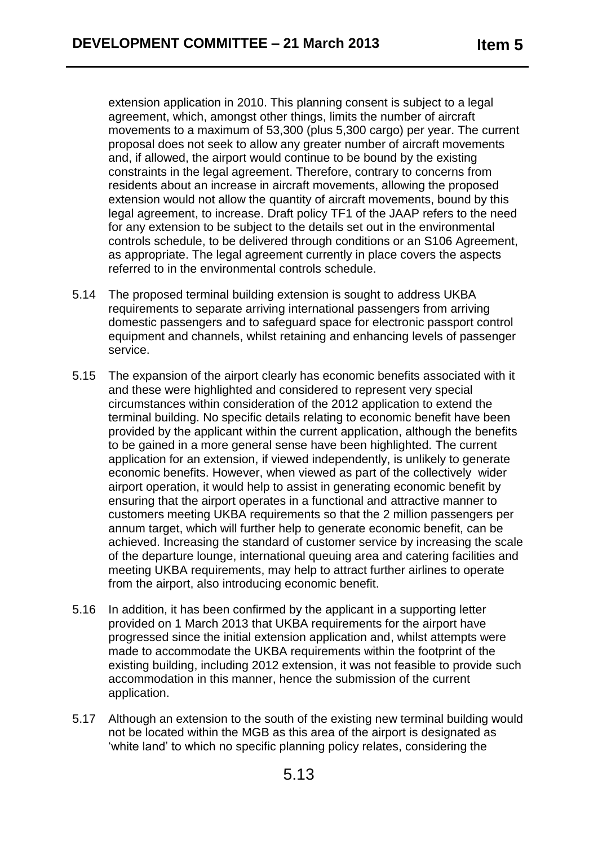extension application in 2010. This planning consent is subject to a legal agreement, which, amongst other things, limits the number of aircraft movements to a maximum of 53,300 (plus 5,300 cargo) per year. The current proposal does not seek to allow any greater number of aircraft movements and, if allowed, the airport would continue to be bound by the existing constraints in the legal agreement. Therefore, contrary to concerns from residents about an increase in aircraft movements, allowing the proposed extension would not allow the quantity of aircraft movements, bound by this legal agreement, to increase. Draft policy TF1 of the JAAP refers to the need for any extension to be subject to the details set out in the environmental controls schedule, to be delivered through conditions or an S106 Agreement, as appropriate. The legal agreement currently in place covers the aspects referred to in the environmental controls schedule.

- 5.14 The proposed terminal building extension is sought to address UKBA requirements to separate arriving international passengers from arriving domestic passengers and to safeguard space for electronic passport control equipment and channels, whilst retaining and enhancing levels of passenger service.
- 5.15 The expansion of the airport clearly has economic benefits associated with it and these were highlighted and considered to represent very special circumstances within consideration of the 2012 application to extend the terminal building. No specific details relating to economic benefit have been provided by the applicant within the current application, although the benefits to be gained in a more general sense have been highlighted. The current application for an extension, if viewed independently, is unlikely to generate economic benefits. However, when viewed as part of the collectively wider airport operation, it would help to assist in generating economic benefit by ensuring that the airport operates in a functional and attractive manner to customers meeting UKBA requirements so that the 2 million passengers per annum target, which will further help to generate economic benefit, can be achieved. Increasing the standard of customer service by increasing the scale of the departure lounge, international queuing area and catering facilities and meeting UKBA requirements, may help to attract further airlines to operate from the airport, also introducing economic benefit.
- 5.16 In addition, it has been confirmed by the applicant in a supporting letter provided on 1 March 2013 that UKBA requirements for the airport have progressed since the initial extension application and, whilst attempts were made to accommodate the UKBA requirements within the footprint of the existing building, including 2012 extension, it was not feasible to provide such accommodation in this manner, hence the submission of the current application.
- 5.17 Although an extension to the south of the existing new terminal building would not be located within the MGB as this area of the airport is designated as 'white land' to which no specific planning policy relates, considering the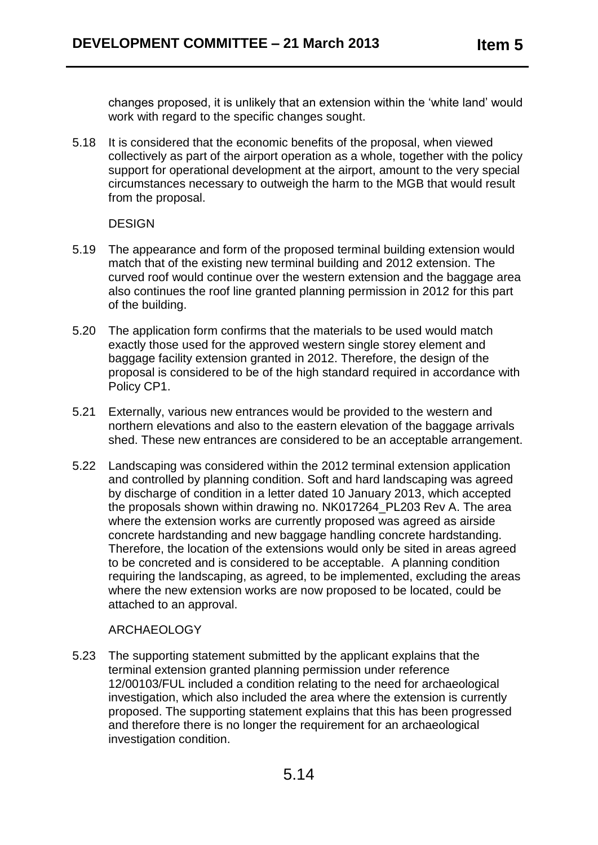changes proposed, it is unlikely that an extension within the 'white land' would work with regard to the specific changes sought.

5.18 It is considered that the economic benefits of the proposal, when viewed collectively as part of the airport operation as a whole, together with the policy support for operational development at the airport, amount to the very special circumstances necessary to outweigh the harm to the MGB that would result from the proposal.

#### DESIGN

- 5.19 The appearance and form of the proposed terminal building extension would match that of the existing new terminal building and 2012 extension. The curved roof would continue over the western extension and the baggage area also continues the roof line granted planning permission in 2012 for this part of the building.
- 5.20 The application form confirms that the materials to be used would match exactly those used for the approved western single storey element and baggage facility extension granted in 2012. Therefore, the design of the proposal is considered to be of the high standard required in accordance with Policy CP1.
- 5.21 Externally, various new entrances would be provided to the western and northern elevations and also to the eastern elevation of the baggage arrivals shed. These new entrances are considered to be an acceptable arrangement.
- 5.22 Landscaping was considered within the 2012 terminal extension application and controlled by planning condition. Soft and hard landscaping was agreed by discharge of condition in a letter dated 10 January 2013, which accepted the proposals shown within drawing no. NK017264\_PL203 Rev A. The area where the extension works are currently proposed was agreed as airside concrete hardstanding and new baggage handling concrete hardstanding. Therefore, the location of the extensions would only be sited in areas agreed to be concreted and is considered to be acceptable. A planning condition requiring the landscaping, as agreed, to be implemented, excluding the areas where the new extension works are now proposed to be located, could be attached to an approval.

## ARCHAEOLOGY

5.23 The supporting statement submitted by the applicant explains that the terminal extension granted planning permission under reference 12/00103/FUL included a condition relating to the need for archaeological investigation, which also included the area where the extension is currently proposed. The supporting statement explains that this has been progressed and therefore there is no longer the requirement for an archaeological investigation condition.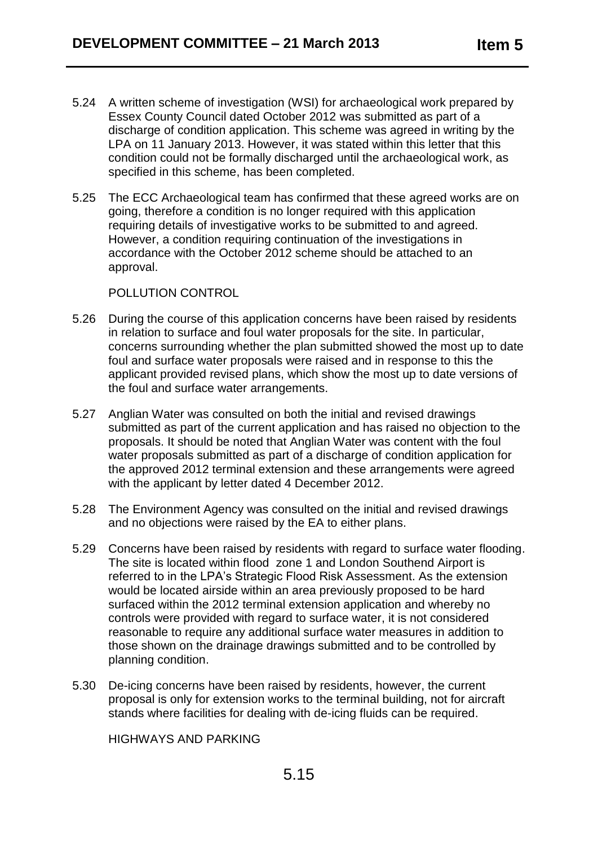- 5.24 A written scheme of investigation (WSI) for archaeological work prepared by Essex County Council dated October 2012 was submitted as part of a discharge of condition application. This scheme was agreed in writing by the LPA on 11 January 2013. However, it was stated within this letter that this condition could not be formally discharged until the archaeological work, as specified in this scheme, has been completed.
- 5.25 The ECC Archaeological team has confirmed that these agreed works are on going, therefore a condition is no longer required with this application requiring details of investigative works to be submitted to and agreed. However, a condition requiring continuation of the investigations in accordance with the October 2012 scheme should be attached to an approval.

#### POLLUTION CONTROL

- 5.26 During the course of this application concerns have been raised by residents in relation to surface and foul water proposals for the site. In particular, concerns surrounding whether the plan submitted showed the most up to date foul and surface water proposals were raised and in response to this the applicant provided revised plans, which show the most up to date versions of the foul and surface water arrangements.
- 5.27 Anglian Water was consulted on both the initial and revised drawings submitted as part of the current application and has raised no objection to the proposals. It should be noted that Anglian Water was content with the foul water proposals submitted as part of a discharge of condition application for the approved 2012 terminal extension and these arrangements were agreed with the applicant by letter dated 4 December 2012.
- 5.28 The Environment Agency was consulted on the initial and revised drawings and no objections were raised by the EA to either plans.
- 5.29 Concerns have been raised by residents with regard to surface water flooding. The site is located within flood zone 1 and London Southend Airport is referred to in the LPA's Strategic Flood Risk Assessment. As the extension would be located airside within an area previously proposed to be hard surfaced within the 2012 terminal extension application and whereby no controls were provided with regard to surface water, it is not considered reasonable to require any additional surface water measures in addition to those shown on the drainage drawings submitted and to be controlled by planning condition.
- 5.30 De-icing concerns have been raised by residents, however, the current proposal is only for extension works to the terminal building, not for aircraft stands where facilities for dealing with de-icing fluids can be required.

HIGHWAYS AND PARKING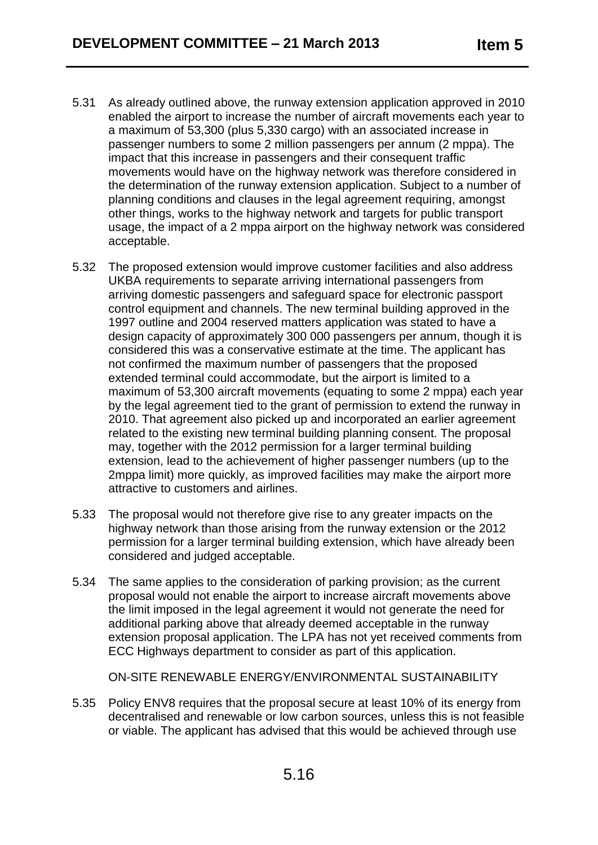- 5.31 As already outlined above, the runway extension application approved in 2010 enabled the airport to increase the number of aircraft movements each year to a maximum of 53,300 (plus 5,330 cargo) with an associated increase in passenger numbers to some 2 million passengers per annum (2 mppa). The impact that this increase in passengers and their consequent traffic movements would have on the highway network was therefore considered in the determination of the runway extension application. Subject to a number of planning conditions and clauses in the legal agreement requiring, amongst other things, works to the highway network and targets for public transport usage, the impact of a 2 mppa airport on the highway network was considered acceptable.
- 5.32 The proposed extension would improve customer facilities and also address UKBA requirements to separate arriving international passengers from arriving domestic passengers and safeguard space for electronic passport control equipment and channels. The new terminal building approved in the 1997 outline and 2004 reserved matters application was stated to have a design capacity of approximately 300 000 passengers per annum, though it is considered this was a conservative estimate at the time. The applicant has not confirmed the maximum number of passengers that the proposed extended terminal could accommodate, but the airport is limited to a maximum of 53,300 aircraft movements (equating to some 2 mppa) each year by the legal agreement tied to the grant of permission to extend the runway in 2010. That agreement also picked up and incorporated an earlier agreement related to the existing new terminal building planning consent. The proposal may, together with the 2012 permission for a larger terminal building extension, lead to the achievement of higher passenger numbers (up to the 2mppa limit) more quickly, as improved facilities may make the airport more attractive to customers and airlines.
- 5.33 The proposal would not therefore give rise to any greater impacts on the highway network than those arising from the runway extension or the 2012 permission for a larger terminal building extension, which have already been considered and judged acceptable.
- 5.34 The same applies to the consideration of parking provision; as the current proposal would not enable the airport to increase aircraft movements above the limit imposed in the legal agreement it would not generate the need for additional parking above that already deemed acceptable in the runway extension proposal application. The LPA has not yet received comments from ECC Highways department to consider as part of this application.

ON-SITE RENEWABLE ENERGY/ENVIRONMENTAL SUSTAINABILITY

5.35 Policy ENV8 requires that the proposal secure at least 10% of its energy from decentralised and renewable or low carbon sources, unless this is not feasible or viable. The applicant has advised that this would be achieved through use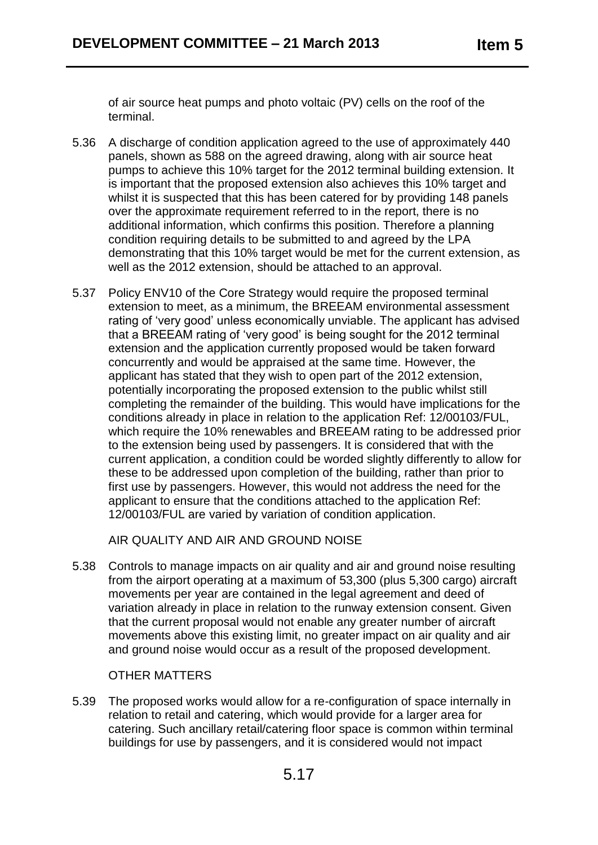of air source heat pumps and photo voltaic (PV) cells on the roof of the terminal.

- 5.36 A discharge of condition application agreed to the use of approximately 440 panels, shown as 588 on the agreed drawing, along with air source heat pumps to achieve this 10% target for the 2012 terminal building extension. It is important that the proposed extension also achieves this 10% target and whilst it is suspected that this has been catered for by providing 148 panels over the approximate requirement referred to in the report, there is no additional information, which confirms this position. Therefore a planning condition requiring details to be submitted to and agreed by the LPA demonstrating that this 10% target would be met for the current extension, as well as the 2012 extension, should be attached to an approval.
- 5.37 Policy ENV10 of the Core Strategy would require the proposed terminal extension to meet, as a minimum, the BREEAM environmental assessment rating of 'very good' unless economically unviable. The applicant has advised that a BREEAM rating of 'very good' is being sought for the 2012 terminal extension and the application currently proposed would be taken forward concurrently and would be appraised at the same time. However, the applicant has stated that they wish to open part of the 2012 extension, potentially incorporating the proposed extension to the public whilst still completing the remainder of the building. This would have implications for the conditions already in place in relation to the application Ref: 12/00103/FUL, which require the 10% renewables and BREEAM rating to be addressed prior to the extension being used by passengers. It is considered that with the current application, a condition could be worded slightly differently to allow for these to be addressed upon completion of the building, rather than prior to first use by passengers. However, this would not address the need for the applicant to ensure that the conditions attached to the application Ref: 12/00103/FUL are varied by variation of condition application.

AIR QUALITY AND AIR AND GROUND NOISE

5.38 Controls to manage impacts on air quality and air and ground noise resulting from the airport operating at a maximum of 53,300 (plus 5,300 cargo) aircraft movements per year are contained in the legal agreement and deed of variation already in place in relation to the runway extension consent. Given that the current proposal would not enable any greater number of aircraft movements above this existing limit, no greater impact on air quality and air and ground noise would occur as a result of the proposed development.

#### OTHER MATTERS

5.39 The proposed works would allow for a re-configuration of space internally in relation to retail and catering, which would provide for a larger area for catering. Such ancillary retail/catering floor space is common within terminal buildings for use by passengers, and it is considered would not impact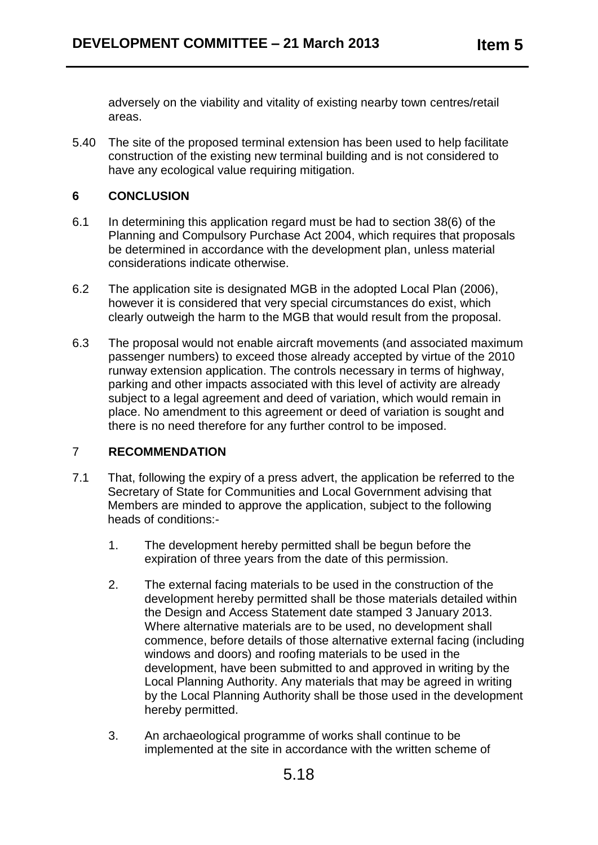adversely on the viability and vitality of existing nearby town centres/retail areas.

5.40 The site of the proposed terminal extension has been used to help facilitate construction of the existing new terminal building and is not considered to have any ecological value requiring mitigation.

### **6 CONCLUSION**

- 6.1 In determining this application regard must be had to section 38(6) of the Planning and Compulsory Purchase Act 2004, which requires that proposals be determined in accordance with the development plan, unless material considerations indicate otherwise.
- 6.2 The application site is designated MGB in the adopted Local Plan (2006), however it is considered that very special circumstances do exist, which clearly outweigh the harm to the MGB that would result from the proposal.
- 6.3 The proposal would not enable aircraft movements (and associated maximum passenger numbers) to exceed those already accepted by virtue of the 2010 runway extension application. The controls necessary in terms of highway, parking and other impacts associated with this level of activity are already subject to a legal agreement and deed of variation, which would remain in place. No amendment to this agreement or deed of variation is sought and there is no need therefore for any further control to be imposed.

## 7 **RECOMMENDATION**

- 7.1 That, following the expiry of a press advert, the application be referred to the Secretary of State for Communities and Local Government advising that Members are minded to approve the application, subject to the following heads of conditions:-
	- 1. The development hereby permitted shall be begun before the expiration of three years from the date of this permission.
	- 2. The external facing materials to be used in the construction of the development hereby permitted shall be those materials detailed within the Design and Access Statement date stamped 3 January 2013. Where alternative materials are to be used, no development shall commence, before details of those alternative external facing (including windows and doors) and roofing materials to be used in the development, have been submitted to and approved in writing by the Local Planning Authority. Any materials that may be agreed in writing by the Local Planning Authority shall be those used in the development hereby permitted.
	- 3. An archaeological programme of works shall continue to be implemented at the site in accordance with the written scheme of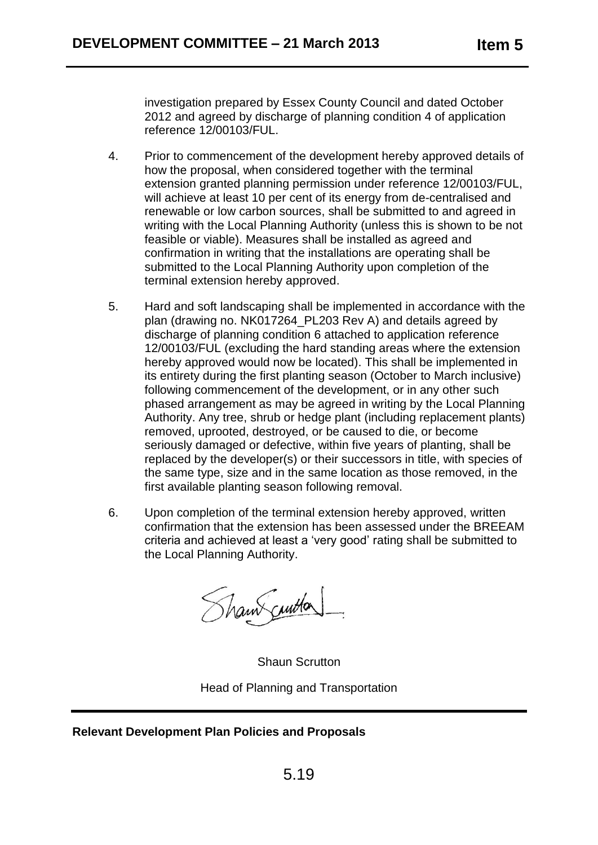investigation prepared by Essex County Council and dated October 2012 and agreed by discharge of planning condition 4 of application reference 12/00103/FUL.

- 4. Prior to commencement of the development hereby approved details of how the proposal, when considered together with the terminal extension granted planning permission under reference 12/00103/FUL, will achieve at least 10 per cent of its energy from de-centralised and renewable or low carbon sources, shall be submitted to and agreed in writing with the Local Planning Authority (unless this is shown to be not feasible or viable). Measures shall be installed as agreed and confirmation in writing that the installations are operating shall be submitted to the Local Planning Authority upon completion of the terminal extension hereby approved.
- 5. Hard and soft landscaping shall be implemented in accordance with the plan (drawing no. NK017264\_PL203 Rev A) and details agreed by discharge of planning condition 6 attached to application reference 12/00103/FUL (excluding the hard standing areas where the extension hereby approved would now be located). This shall be implemented in its entirety during the first planting season (October to March inclusive) following commencement of the development, or in any other such phased arrangement as may be agreed in writing by the Local Planning Authority. Any tree, shrub or hedge plant (including replacement plants) removed, uprooted, destroyed, or be caused to die, or become seriously damaged or defective, within five years of planting, shall be replaced by the developer(s) or their successors in title, with species of the same type, size and in the same location as those removed, in the first available planting season following removal.
- 6. Upon completion of the terminal extension hereby approved, written confirmation that the extension has been assessed under the BREEAM criteria and achieved at least a 'very good' rating shall be submitted to the Local Planning Authority.

Shaw curton

Shaun Scrutton Head of Planning and Transportation

## **Relevant Development Plan Policies and Proposals**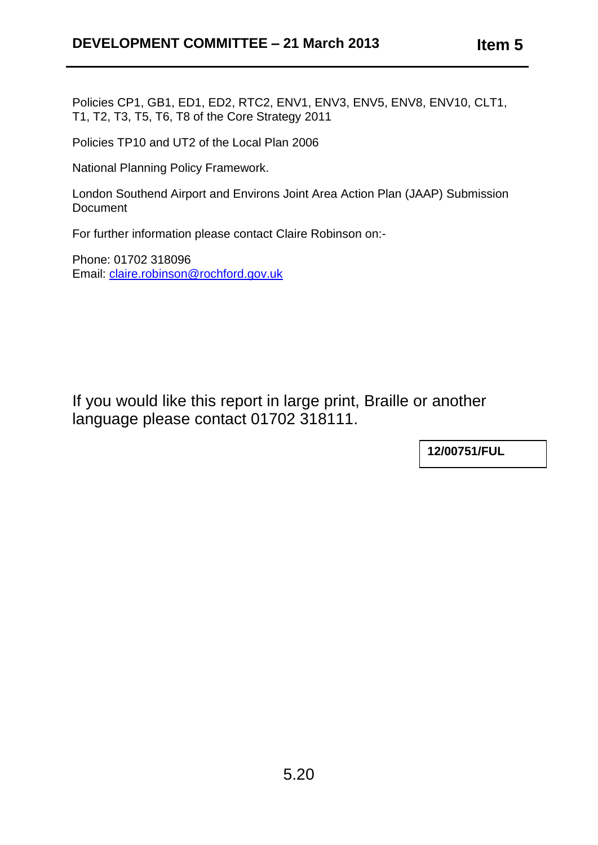Policies CP1, GB1, ED1, ED2, RTC2, ENV1, ENV3, ENV5, ENV8, ENV10, CLT1, T1, T2, T3, T5, T6, T8 of the Core Strategy 2011

Policies TP10 and UT2 of the Local Plan 2006

National Planning Policy Framework.

London Southend Airport and Environs Joint Area Action Plan (JAAP) Submission **Document** 

For further information please contact Claire Robinson on:-

Phone: 01702 318096 Email: [claire.robinson@rochford.gov.uk](mailto:claire.robinson@rochford.gov.uk)

If you would like this report in large print, Braille or another language please contact 01702 318111.

**12/00751/FUL**